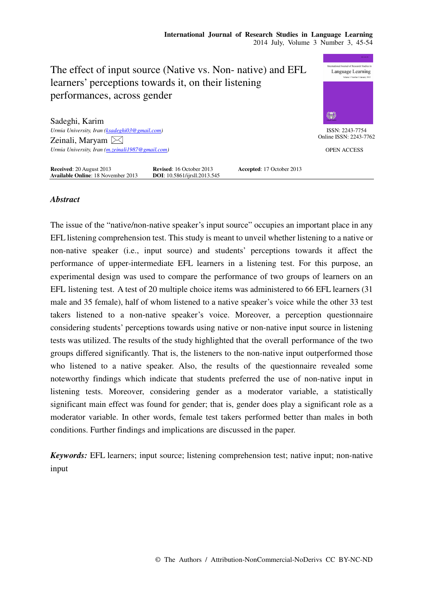

# *Abstract*

The issue of the "native/non-native speaker's input source" occupies an important place in any EFL listening comprehension test. This study is meant to unveil whether listening to a native or non-native speaker (i.e., input source) and students' perceptions towards it affect the performance of upper-intermediate EFL learners in a listening test. For this purpose, an experimental design was used to compare the performance of two groups of learners on an EFL listening test. A test of 20 multiple choice items was administered to 66 EFL learners (31 male and 35 female), half of whom listened to a native speaker's voice while the other 33 test takers listened to a non-native speaker's voice. Moreover, a perception questionnaire considering students' perceptions towards using native or non-native input source in listening tests was utilized. The results of the study highlighted that the overall performance of the two groups differed significantly. That is, the listeners to the non-native input outperformed those who listened to a native speaker. Also, the results of the questionnaire revealed some noteworthy findings which indicate that students preferred the use of non-native input in listening tests. Moreover, considering gender as a moderator variable, a statistically significant main effect was found for gender; that is, gender does play a significant role as a moderator variable. In other words, female test takers performed better than males in both conditions. Further findings and implications are discussed in the paper.

*Keywords:* EFL learners; input source; listening comprehension test; native input; non-native input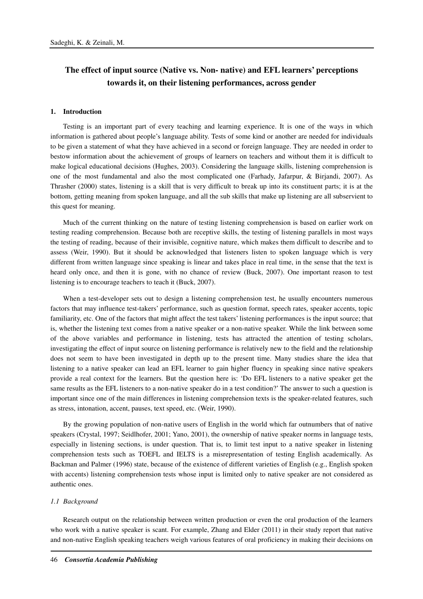# **The effect of input source (Native vs. Non- native) and EFL learners' perceptions towards it, on their listening performances, across gender**

#### **1. Introduction**

Testing is an important part of every teaching and learning experience. It is one of the ways in which information is gathered about people's language ability. Tests of some kind or another are needed for individuals to be given a statement of what they have achieved in a second or foreign language. They are needed in order to bestow information about the achievement of groups of learners on teachers and without them it is difficult to make logical educational decisions (Hughes, 2003). Considering the language skills, listening comprehension is one of the most fundamental and also the most complicated one (Farhady, Jafarpur, & Birjandi, 2007). As Thrasher (2000) states, listening is a skill that is very difficult to break up into its constituent parts; it is at the bottom, getting meaning from spoken language, and all the sub skills that make up listening are all subservient to this quest for meaning.

Much of the current thinking on the nature of testing listening comprehension is based on earlier work on testing reading comprehension. Because both are receptive skills, the testing of listening parallels in most ways the testing of reading, because of their invisible, cognitive nature, which makes them difficult to describe and to assess (Weir, 1990). But it should be acknowledged that listeners listen to spoken language which is very different from written language since speaking is linear and takes place in real time, in the sense that the text is heard only once, and then it is gone, with no chance of review (Buck, 2007). One important reason to test listening is to encourage teachers to teach it (Buck, 2007).

When a test-developer sets out to design a listening comprehension test, he usually encounters numerous factors that may influence test-takers' performance, such as question format, speech rates, speaker accents, topic familiarity, etc. One of the factors that might affect the test takers' listening performances is the input source; that is, whether the listening text comes from a native speaker or a non-native speaker. While the link between some of the above variables and performance in listening, tests has attracted the attention of testing scholars, investigating the effect of input source on listening performance is relatively new to the field and the relationship does not seem to have been investigated in depth up to the present time. Many studies share the idea that listening to a native speaker can lead an EFL learner to gain higher fluency in speaking since native speakers provide a real context for the learners. But the question here is: 'Do EFL listeners to a native speaker get the same results as the EFL listeners to a non-native speaker do in a test condition?' The answer to such a question is important since one of the main differences in listening comprehension texts is the speaker-related features, such as stress, intonation, accent, pauses, text speed, etc. (Weir, 1990).

By the growing population of non-native users of English in the world which far outnumbers that of native speakers (Crystal, 1997; Seidlhofer, 2001; Yano, 2001), the ownership of native speaker norms in language tests, especially in listening sections, is under question. That is, to limit test input to a native speaker in listening comprehension tests such as TOEFL and IELTS is a misrepresentation of testing English academically. As Backman and Palmer (1996) state, because of the existence of different varieties of English (e.g., English spoken with accents) listening comprehension tests whose input is limited only to native speaker are not considered as authentic ones.

#### *1.1 Background*

Research output on the relationship between written production or even the oral production of the learners who work with a native speaker is scant. For example, Zhang and Elder (2011) in their study report that native and non-native English speaking teachers weigh various features of oral proficiency in making their decisions on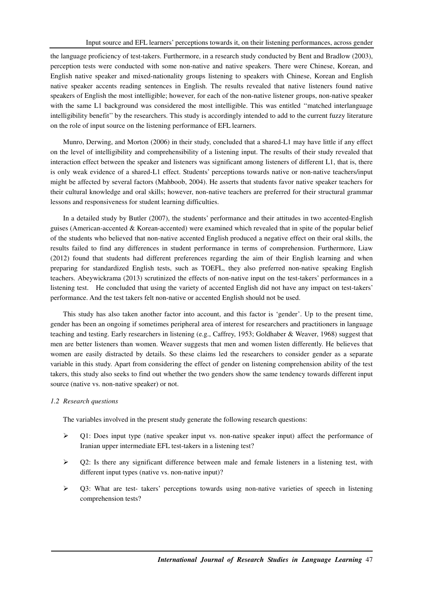the language proficiency of test-takers. Furthermore, in a research study conducted by Bent and Bradlow (2003), perception tests were conducted with some non-native and native speakers. There were Chinese, Korean, and English native speaker and mixed-nationality groups listening to speakers with Chinese, Korean and English native speaker accents reading sentences in English. The results revealed that native listeners found native speakers of English the most intelligible; however, for each of the non-native listener groups, non-native speaker with the same L1 background was considered the most intelligible. This was entitled "matched interlanguage" intelligibility benefit'' by the researchers. This study is accordingly intended to add to the current fuzzy literature on the role of input source on the listening performance of EFL learners.

Munro, Derwing, and Morton (2006) in their study, concluded that a shared-L1 may have little if any effect on the level of intelligibility and comprehensibility of a listening input. The results of their study revealed that interaction effect between the speaker and listeners was significant among listeners of different L1, that is, there is only weak evidence of a shared-L1 effect. Students' perceptions towards native or non-native teachers/input might be affected by several factors (Mahboob, 2004). He asserts that students favor native speaker teachers for their cultural knowledge and oral skills; however, non-native teachers are preferred for their structural grammar lessons and responsiveness for student learning difficulties.

In a detailed study by Butler (2007), the students' performance and their attitudes in two accented-English guises (American-accented & Korean-accented) were examined which revealed that in spite of the popular belief of the students who believed that non-native accented English produced a negative effect on their oral skills, the results failed to find any differences in student performance in terms of comprehension. Furthermore, Liaw (2012) found that students had different preferences regarding the aim of their English learning and when preparing for standardized English tests, such as TOEFL, they also preferred non-native speaking English teachers. Abeywickrama (2013) scrutinized the effects of non-native input on the test-takers' performances in a listening test. He concluded that using the variety of accented English did not have any impact on test-takers' performance. And the test takers felt non-native or accented English should not be used.

This study has also taken another factor into account, and this factor is 'gender'. Up to the present time, gender has been an ongoing if sometimes peripheral area of interest for researchers and practitioners in language teaching and testing. Early researchers in listening (e.g., Caffrey, 1953; Goldhaber & Weaver, 1968) suggest that men are better listeners than women. Weaver suggests that men and women listen differently. He believes that women are easily distracted by details. So these claims led the researchers to consider gender as a separate variable in this study. Apart from considering the effect of gender on listening comprehension ability of the test takers, this study also seeks to find out whether the two genders show the same tendency towards different input source (native vs. non-native speaker) or not.

# *1.2 Research questions*

The variables involved in the present study generate the following research questions:

- $\triangleright$  Q1: Does input type (native speaker input vs. non-native speaker input) affect the performance of Iranian upper intermediate EFL test-takers in a listening test?
- $\triangleright$  Q2: Is there any significant difference between male and female listeners in a listening test, with different input types (native vs. non-native input)?
- $\triangleright$  Q3: What are test- takers' perceptions towards using non-native varieties of speech in listening comprehension tests?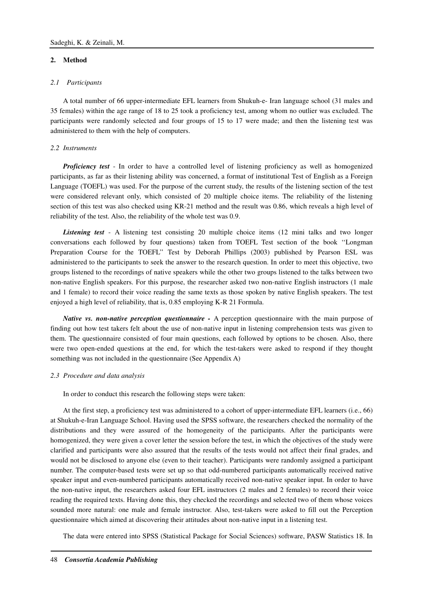# **2. Method**

### *2.1 Participants*

A total number of 66 upper-intermediate EFL learners from Shukuh-e- Iran language school (31 males and 35 females) within the age range of 18 to 25 took a proficiency test, among whom no outlier was excluded. The participants were randomly selected and four groups of 15 to 17 were made; and then the listening test was administered to them with the help of computers.

#### *2.2 Instruments*

*Proficiency test* - In order to have a controlled level of listening proficiency as well as homogenized participants, as far as their listening ability was concerned, a format of institutional Test of English as a Foreign Language (TOEFL) was used. For the purpose of the current study, the results of the listening section of the test were considered relevant only, which consisted of 20 multiple choice items. The reliability of the listening section of this test was also checked using KR-21 method and the result was 0.86, which reveals a high level of reliability of the test. Also, the reliability of the whole test was 0.9.

*Listening test* - A listening test consisting 20 multiple choice items (12 mini talks and two longer conversations each followed by four questions) taken from TOEFL Test section of the book ''Longman Preparation Course for the TOEFL'' Test by Deborah Phillips (2003) published by Pearson ESL was administered to the participants to seek the answer to the research question. In order to meet this objective, two groups listened to the recordings of native speakers while the other two groups listened to the talks between two non-native English speakers. For this purpose, the researcher asked two non-native English instructors (1 male and 1 female) to record their voice reading the same texts as those spoken by native English speakers. The test enjoyed a high level of reliability, that is, 0.85 employing K-R 21 Formula.

*Native vs. non-native perception questionnaire -* A perception questionnaire with the main purpose of finding out how test takers felt about the use of non-native input in listening comprehension tests was given to them. The questionnaire consisted of four main questions, each followed by options to be chosen. Also, there were two open-ended questions at the end, for which the test-takers were asked to respond if they thought something was not included in the questionnaire (See Appendix A)

#### *2.3 Procedure and data analysis*

In order to conduct this research the following steps were taken:

At the first step, a proficiency test was administered to a cohort of upper-intermediate EFL learners (i.e., 66) at Shukuh-e-Iran Language School. Having used the SPSS software, the researchers checked the normality of the distributions and they were assured of the homogeneity of the participants. After the participants were homogenized, they were given a cover letter the session before the test, in which the objectives of the study were clarified and participants were also assured that the results of the tests would not affect their final grades, and would not be disclosed to anyone else (even to their teacher). Participants were randomly assigned a participant number. The computer-based tests were set up so that odd-numbered participants automatically received native speaker input and even-numbered participants automatically received non-native speaker input. In order to have the non-native input, the researchers asked four EFL instructors (2 males and 2 females) to record their voice reading the required texts. Having done this, they checked the recordings and selected two of them whose voices sounded more natural: one male and female instructor. Also, test-takers were asked to fill out the Perception questionnaire which aimed at discovering their attitudes about non-native input in a listening test.

The data were entered into SPSS (Statistical Package for Social Sciences) software, PASW Statistics 18. In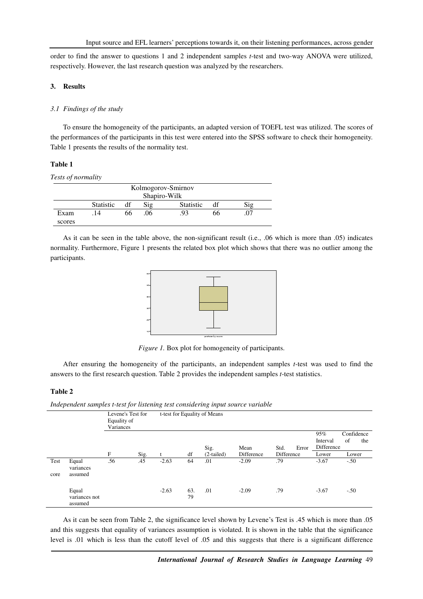order to find the answer to questions 1 and 2 independent samples *t*-test and two-way ANOVA were utilized, respectively. However, the last research question was analyzed by the researchers.

#### **3. Results**

#### *3.1 Findings of the study*

To ensure the homogeneity of the participants, an adapted version of TOEFL test was utilized. The scores of the performances of the participants in this test were entered into the SPSS software to check their homogeneity. Table 1 presents the results of the normality test.

## **Table 1**

#### *Tests of normality*

| Kolmogorov-Smirnov |                  |    |                |                  |    |     |  |
|--------------------|------------------|----|----------------|------------------|----|-----|--|
| Shapiro-Wilk       |                  |    |                |                  |    |     |  |
|                    | <b>Statistic</b> | df | $\mathrm{Sig}$ | <b>Statistic</b> |    | Sig |  |
| Exam               | . 14             | 66 | .06            | 93               | hh | 07  |  |
| scores             |                  |    |                |                  |    |     |  |

As it can be seen in the table above, the non-significant result (i.e., .06 which is more than .05) indicates normality. Furthermore, Figure 1 presents the related box plot which shows that there was no outlier among the participants.



*Figure 1.* Box plot for homogeneity of participants.

After ensuring the homogeneity of the participants, an independent samples *t*-test was used to find the answers to the first research question. Table 2 provides the independent samples *t*-test statistics.

## **Table 2**

*Independent samples t-test for listening test considering input source variable* 

|      |                                   | Levene's Test for<br>Equality of<br>Variances |      |         |           | t-test for Equality of Means |            |            |       |                               |                         |
|------|-----------------------------------|-----------------------------------------------|------|---------|-----------|------------------------------|------------|------------|-------|-------------------------------|-------------------------|
|      |                                   |                                               |      |         |           | Sig.                         | Mean       | Std.       | Error | 95%<br>Interval<br>Difference | Confidence<br>of<br>the |
|      |                                   | F                                             | Sig. | t       | df        | $(2-tailed)$                 | Difference | Difference |       | Lower                         | Lower                   |
| Test | Equal<br>variances                | .56                                           | .45  | $-2.63$ | 64        | .01                          | $-2.09$    | .79        |       | $-3.67$                       | $-.50$                  |
| core | assumed                           |                                               |      |         |           |                              |            |            |       |                               |                         |
|      | Equal<br>variances not<br>assumed |                                               |      | $-2.63$ | 63.<br>79 | .01                          | $-2.09$    | .79        |       | $-3.67$                       | $-.50$                  |

As it can be seen from Table 2, the significance level shown by Levene's Test is .45 which is more than .05 and this suggests that equality of variances assumption is violated. It is shown in the table that the significance level is .01 which is less than the cutoff level of .05 and this suggests that there is a significant difference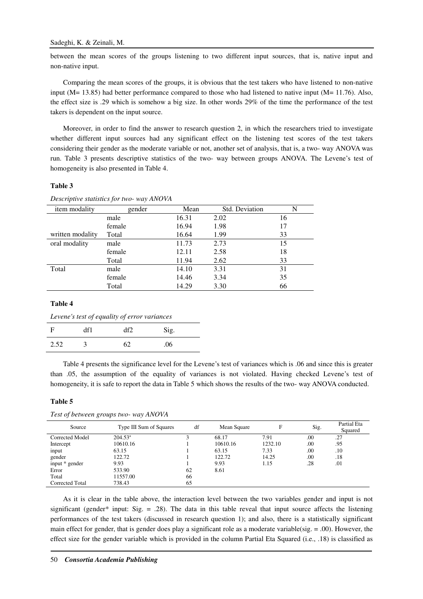between the mean scores of the groups listening to two different input sources, that is, native input and non-native input.

Comparing the mean scores of the groups, it is obvious that the test takers who have listened to non-native input ( $M$  = 13.85) had better performance compared to those who had listened to native input ( $M$  = 11.76). Also, the effect size is .29 which is somehow a big size. In other words 29% of the time the performance of the test takers is dependent on the input source.

Moreover, in order to find the answer to research question 2, in which the researchers tried to investigate whether different input sources had any significant effect on the listening test scores of the test takers considering their gender as the moderate variable or not, another set of analysis, that is, a two- way ANOVA was run. Table 3 presents descriptive statistics of the two- way between groups ANOVA. The Levene's test of homogeneity is also presented in Table 4.

## **Table 3**

| item modality    | gender | Mean  | Std. Deviation | N  |
|------------------|--------|-------|----------------|----|
|                  | male   | 16.31 | 2.02           | 16 |
|                  | female | 16.94 | 1.98           | 17 |
| written modality | Total  | 16.64 | 1.99           | 33 |
| oral modality    | male   | 11.73 | 2.73           | 15 |
|                  | female | 12.11 | 2.58           | 18 |
|                  | Total  | 11.94 | 2.62           | 33 |
| Total            | male   | 14.10 | 3.31           | 31 |
|                  | female | 14.46 | 3.34           | 35 |
|                  | Total  | 14.29 | 3.30           | 66 |
|                  |        |       |                |    |

*Descriptive statistics for two- way ANOVA* 

## **Table 4**

| Levene's test of equality of error variances |     |     |      |  |  |  |
|----------------------------------------------|-----|-----|------|--|--|--|
| - F                                          | df1 | df2 | Sig. |  |  |  |
| 2.52                                         |     | 62  | .06  |  |  |  |

Table 4 presents the significance level for the Levene's test of variances which is .06 and since this is greater than .05, the assumption of the equality of variances is not violated. Having checked Levene's test of homogeneity, it is safe to report the data in Table 5 which shows the results of the two- way ANOVA conducted.

#### **Table 5**

| Source          | Type III Sum of Squares | df | Mean Square | F       | Sig. | Partial Eta<br>Squared |
|-----------------|-------------------------|----|-------------|---------|------|------------------------|
| Corrected Model | $204.53^{\circ}$        |    | 68.17       | 7.91    | .00  | .27                    |
| Intercept       | 10610.16                |    | 10610.16    | 1232.10 | .00  | .95                    |
| input           | 63.15                   |    | 63.15       | 7.33    | .00  | .10                    |
| gender          | 122.72                  |    | 122.72      | 14.25   | .00. | .18                    |
| input * gender  | 9.93                    |    | 9.93        | 1.15    | .28  | .01                    |
| Error           | 533.90                  | 62 | 8.61        |         |      |                        |
| Total           | 11557.00                | 66 |             |         |      |                        |
| Corrected Total | 738.43                  | 65 |             |         |      |                        |

As it is clear in the table above, the interaction level between the two variables gender and input is not significant (gender\* input: Sig.  $= .28$ ). The data in this table reveal that input source affects the listening performances of the test takers (discussed in research question 1); and also, there is a statistically significant main effect for gender, that is gender does play a significant role as a moderate variable(sig.  $= .00$ ). However, the effect size for the gender variable which is provided in the column Partial Eta Squared (i.e., .18) is classified as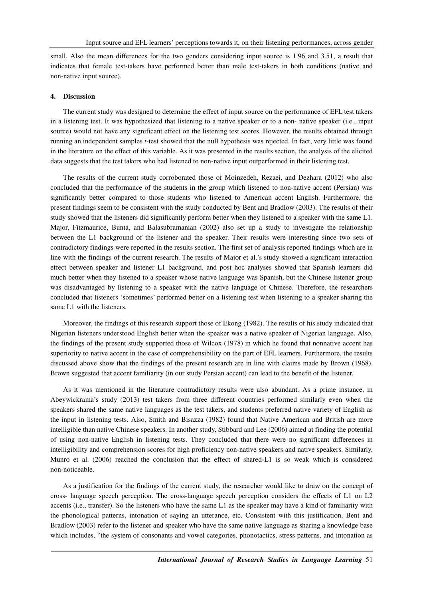small. Also the mean differences for the two genders considering input source is 1.96 and 3.51, a result that indicates that female test-takers have performed better than male test-takers in both conditions (native and non-native input source).

#### **4. Discussion**

The current study was designed to determine the effect of input source on the performance of EFL test takers in a listening test. It was hypothesized that listening to a native speaker or to a non- native speaker (i.e., input source) would not have any significant effect on the listening test scores. However, the results obtained through running an independent samples *t*-test showed that the null hypothesis was rejected. In fact, very little was found in the literature on the effect of this variable. As it was presented in the results section, the analysis of the elicited data suggests that the test takers who had listened to non-native input outperformed in their listening test.

The results of the current study corroborated those of Moinzedeh, Rezaei, and Dezhara (2012) who also concluded that the performance of the students in the group which listened to non-native accent (Persian) was significantly better compared to those students who listened to American accent English. Furthermore, the present findings seem to be consistent with the study conducted by Bent and Bradlow (2003). The results of their study showed that the listeners did significantly perform better when they listened to a speaker with the same L1. Major, Fitzmaurice, Bunta, and Balasubramanian (2002) also set up a study to investigate the relationship between the L1 background of the listener and the speaker. Their results were interesting since two sets of contradictory findings were reported in the results section. The first set of analysis reported findings which are in line with the findings of the current research. The results of Major et al.'s study showed a significant interaction effect between speaker and listener L1 background, and post hoc analyses showed that Spanish learners did much better when they listened to a speaker whose native language was Spanish, but the Chinese listener group was disadvantaged by listening to a speaker with the native language of Chinese. Therefore, the researchers concluded that listeners 'sometimes' performed better on a listening test when listening to a speaker sharing the same L1 with the listeners.

Moreover, the findings of this research support those of Ekong (1982). The results of his study indicated that Nigerian listeners understood English better when the speaker was a native speaker of Nigerian language. Also, the findings of the present study supported those of Wilcox (1978) in which he found that nonnative accent has superiority to native accent in the case of comprehensibility on the part of EFL learners. Furthermore, the results discussed above show that the findings of the present research are in line with claims made by Brown (1968). Brown suggested that accent familiarity (in our study Persian accent) can lead to the benefit of the listener.

As it was mentioned in the literature contradictory results were also abundant. As a prime instance, in Abeywickrama's study (2013) test takers from three different countries performed similarly even when the speakers shared the same native languages as the test takers, and students preferred native variety of English as the input in listening tests. Also, Smith and Bisazza (1982) found that Native American and British are more intelligible than native Chinese speakers. In another study, Stibbard and Lee (2006) aimed at finding the potential of using non-native English in listening tests. They concluded that there were no significant differences in intelligibility and comprehension scores for high proficiency non-native speakers and native speakers. Similarly, Munro et al. (2006) reached the conclusion that the effect of shared-L1 is so weak which is considered non-noticeable.

As a justification for the findings of the current study, the researcher would like to draw on the concept of cross- language speech perception. The cross-language speech perception considers the effects of L1 on L2 accents (i.e., transfer). So the listeners who have the same L1 as the speaker may have a kind of familiarity with the phonological patterns, intonation of saying an utterance, etc. Consistent with this justification, Bent and Bradlow (2003) refer to the listener and speaker who have the same native language as sharing a knowledge base which includes, "the system of consonants and vowel categories, phonotactics, stress patterns, and intonation as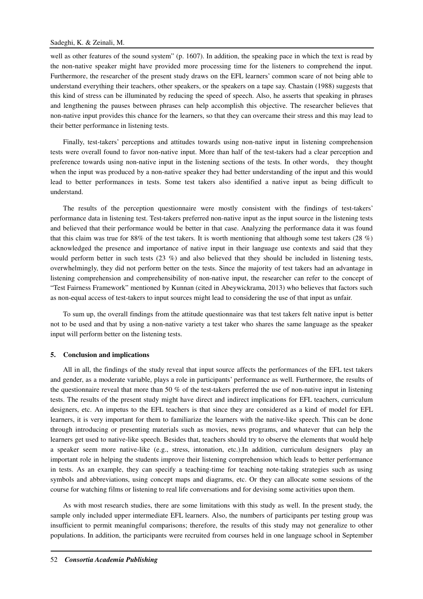well as other features of the sound system" (p. 1607). In addition, the speaking pace in which the text is read by the non-native speaker might have provided more processing time for the listeners to comprehend the input. Furthermore, the researcher of the present study draws on the EFL learners' common scare of not being able to understand everything their teachers, other speakers, or the speakers on a tape say. Chastain (1988) suggests that this kind of stress can be illuminated by reducing the speed of speech. Also, he asserts that speaking in phrases and lengthening the pauses between phrases can help accomplish this objective. The researcher believes that non-native input provides this chance for the learners, so that they can overcame their stress and this may lead to their better performance in listening tests.

Finally, test-takers' perceptions and attitudes towards using non-native input in listening comprehension tests were overall found to favor non-native input. More than half of the test-takers had a clear perception and preference towards using non-native input in the listening sections of the tests. In other words, they thought when the input was produced by a non-native speaker they had better understanding of the input and this would lead to better performances in tests. Some test takers also identified a native input as being difficult to understand.

The results of the perception questionnaire were mostly consistent with the findings of test-takers' performance data in listening test. Test-takers preferred non-native input as the input source in the listening tests and believed that their performance would be better in that case. Analyzing the performance data it was found that this claim was true for 88% of the test takers. It is worth mentioning that although some test takers (28 %) acknowledged the presence and importance of native input in their language use contexts and said that they would perform better in such tests (23 %) and also believed that they should be included in listening tests, overwhelmingly, they did not perform better on the tests. Since the majority of test takers had an advantage in listening comprehension and comprehensibility of non-native input, the researcher can refer to the concept of "Test Fairness Framework" mentioned by Kunnan (cited in Abeywickrama, 2013) who believes that factors such as non-equal access of test-takers to input sources might lead to considering the use of that input as unfair.

To sum up, the overall findings from the attitude questionnaire was that test takers felt native input is better not to be used and that by using a non-native variety a test taker who shares the same language as the speaker input will perform better on the listening tests.

#### **5. Conclusion and implications**

All in all, the findings of the study reveal that input source affects the performances of the EFL test takers and gender, as a moderate variable, plays a role in participants' performance as well. Furthermore, the results of the questionnaire reveal that more than 50 % of the test-takers preferred the use of non-native input in listening tests. The results of the present study might have direct and indirect implications for EFL teachers, curriculum designers, etc. An impetus to the EFL teachers is that since they are considered as a kind of model for EFL learners, it is very important for them to familiarize the learners with the native-like speech. This can be done through introducing or presenting materials such as movies, news programs, and whatever that can help the learners get used to native-like speech. Besides that, teachers should try to observe the elements that would help a speaker seem more native-like (e.g., stress, intonation, etc.).In addition, curriculum designers play an important role in helping the students improve their listening comprehension which leads to better performance in tests. As an example, they can specify a teaching-time for teaching note-taking strategies such as using symbols and abbreviations, using concept maps and diagrams, etc. Or they can allocate some sessions of the course for watching films or listening to real life conversations and for devising some activities upon them.

As with most research studies, there are some limitations with this study as well. In the present study, the sample only included upper intermediate EFL learners. Also, the numbers of participants per testing group was insufficient to permit meaningful comparisons; therefore, the results of this study may not generalize to other populations. In addition, the participants were recruited from courses held in one language school in September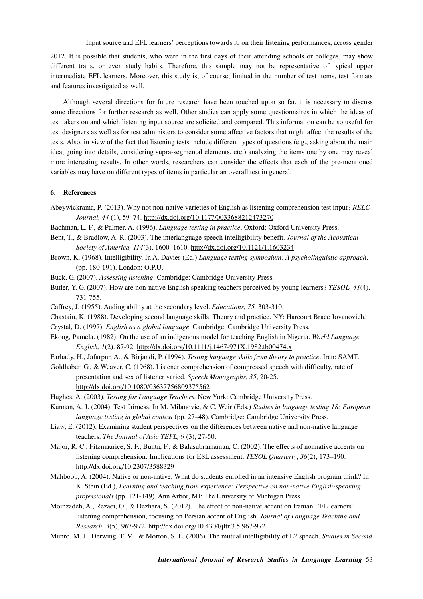2012. It is possible that students, who were in the first days of their attending schools or colleges, may show different traits, or even study habits. Therefore, this sample may not be representative of typical upper intermediate EFL learners. Moreover, this study is, of course, limited in the number of test items, test formats and features investigated as well.

Although several directions for future research have been touched upon so far, it is necessary to discuss some directions for further research as well. Other studies can apply some questionnaires in which the ideas of test takers on and which listening input source are solicited and compared. This information can be so useful for test designers as well as for test administers to consider some affective factors that might affect the results of the tests. Also, in view of the fact that listening tests include different types of questions (e.g., asking about the main idea, going into details, considering supra-segmental elements, etc.) analyzing the items one by one may reveal more interesting results. In other words, researchers can consider the effects that each of the pre-mentioned variables may have on different types of items in particular an overall test in general.

# **6. References**

- Abeywickrama, P. (2013). Why not non-native varieties of English as listening comprehension test input? *RELC Journal, 44* (1), 59–74. http://dx.doi.org/10.1177/0033688212473270
- Bachman, L. F., & Palmer, A. (1996). *Language testing in practice*. Oxford: Oxford University Press.
- Bent, T., & Bradlow, A. R. (2003). The interlanguage speech intelligibility benefit. *Journal of the Acoustical Society of America, 114*(3), 1600–1610. http://dx.doi.org/10.1121/1.1603234
- Brown, K. (1968). Intelligibility. In A. Davies (Ed.) *Language testing symposium: A psycholinguistic approach*, (pp. 180-191). London: O.P.U.
- Buck, G. (2007). *Assessing listening*. Cambridge: Cambridge University Press.
- Butler, Y. G. (2007). How are non-native English speaking teachers perceived by young learners? *TESOL, 41*(4), 731-755.
- Caffrey, J. (1955). Auding ability at the secondary level. *Educations, 75,* 303-310.
- Chastain, K. (1988). Developing second language skills: Theory and practice. NY: Harcourt Brace Jovanovich. Crystal, D. (1997). *English as a global language*. Cambridge: Cambridge University Press.
- Ekong, Pamela. (1982). On the use of an indigenous model for teaching English in Nigeria. *World Language English, 1*(2). 87-92. http://dx.doi.org/10.1111/j.1467-971X.1982.tb00474.x
- Farhady, H., Jafarpur, A., & Birjandi, P. (1994). *Testing language skills from theory to practice*. Iran: SAMT.

Goldhaber, G., & Weaver, C. (1968). Listener comprehension of compressed speech with difficulty, rate of presentation and sex of listener varied. *Speech Monographs*, *35*, 20-25. http://dx.doi.org/10.1080/03637756809375562

- Hughes, A. (2003). *Testing for Language Teachers*. New York: Cambridge University Press.
- Kunnan, A. J. (2004). Test fairness. In M. Milanovic, & C. Weir (Eds.) *Studies in language testing 18: European language testing in global context* (pp. 27–48). Cambridge: Cambridge University Press.
- Liaw, E. (2012). Examining student perspectives on the differences between native and non-native language teachers. *The Journal of Asia TEFL, 9* (3), 27-50.
- Major, R. C., Fitzmaurice, S. F., Bunta, F., & Balasubramanian, C. (2002). The effects of nonnative accents on listening comprehension: Implications for ESL assessment. *TESOL Quarterly*, *36*(2), 173–190. http://dx.doi.org/10.2307/3588329
- Mahboob, A. (2004). Native or non-native: What do students enrolled in an intensive English program think? In K. Stein (Ed.), *Learning and teaching from experience: Perspective on non-native English-speaking professionals* (pp. 121-149). Ann Arbor, MI: The University of Michigan Press.
- Moinzadeh, A., Rezaei, O., & Dezhara, S. (2012). The effect of non-native accent on Iranian EFL learners' listening comprehension, focusing on Persian accent of English. *Journal of Language Teaching and Research, 3*(5), 967-972. http://dx.doi.org/10.4304/jltr.3.5.967-972
- Munro, M. J., Derwing, T. M., & Morton, S. L. (2006). The mutual intelligibility of L2 speech. *Studies in Second*